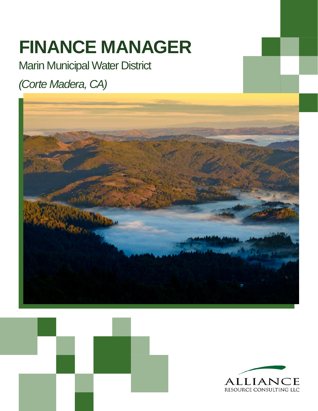# **FINANCE MANAGER**

Marin Municipal Water District

# *(Corte Madera, CA)*





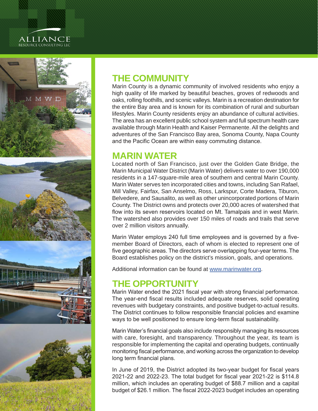#### alliance RESOURCE CONSULTING LLC



## **THE COMMUNITY**

Marin County is a dynamic community of involved residents who enjoy a high quality of life marked by beautiful beaches, groves of redwoods and oaks, rolling foothills, and scenic valleys. Marin is a recreation destination for the entire Bay area and is known for its combination of rural and suburban lifestyles. Marin County residents enjoy an abundance of cultural activities. The area has an excellent public school system and full spectrum health care available through Marin Health and Kaiser Permanente. All the delights and adventures of the San Francisco Bay area, Sonoma County, Napa County and the Pacific Ocean are within easy commuting distance.

#### **MARIN WATER**

Located north of San Francisco, just over the Golden Gate Bridge, the Marin Municipal Water District (Marin Water) delivers water to over 190,000 residents in a 147-square-mile area of southern and central Marin County. Marin Water serves ten incorporated cities and towns, including San Rafael, Mill Valley, Fairfax, San Anselmo, Ross, Larkspur, Corte Madera, Tiburon, Belvedere, and Sausalito, as well as other unincorporated portions of Marin County. The District owns and protects over 20,000 acres of watershed that flow into its seven reservoirs located on Mt. Tamalpais and in west Marin. The watershed also provides over 150 miles of roads and trails that serve over 2 million visitors annually.

Marin Water employs 240 full time employees and is governed by a fivemember Board of Directors, each of whom is elected to represent one of five geographic areas. The directors serve overlapping four-year terms. The Board establishes policy on the district's mission, goals, and operations.

Additional information can be found at [www.marinwater.org.](http://www.marinwater.org)

## **THE OPPORTUNITY**

Marin Water ended the 2021 fiscal year with strong financial performance. The year-end fiscal results included adequate reserves, solid operating revenues with budgetary constraints, and positive budget-to-actual results. The District continues to follow responsible financial policies and examine ways to be well positioned to ensure long-term fiscal sustainability.

Marin Water's financial goals also include responsibly managing its resources with care, foresight, and transparency. Throughout the year, its team is responsible for implementing the capital and operating budgets, continually monitoring fiscal performance, and working across the organization to develop long term financial plans.

In June of 2019, the District adopted its two-year budget for fiscal years 2021-22 and 2022-23. The total budget for fiscal year 2021-22 is \$114.8 million, which includes an operating budget of \$88.7 million and a capital budget of \$26.1 million. The fiscal 2022-2023 budget includes an operating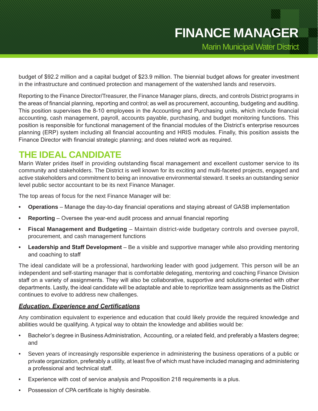budget of \$92.2 million and a capital budget of \$23.9 million. The biennial budget allows for greater investment in the infrastructure and continued protection and management of the watershed lands and reservoirs.

Reporting to the Finance Director/Treasurer, the Finance Manager plans, directs, and controls District programs in the areas of financial planning, reporting and control; as well as procurement, accounting, budgeting and auditing. This position supervises the 8-10 employees in the Accounting and Purchasing units, which include financial accounting, cash management, payroll, accounts payable, purchasing, and budget monitoring functions. This position is responsible for functional management of the financial modules of the District's enterprise resources planning (ERP) system including all financial accounting and HRIS modules. Finally, this position assists the Finance Director with financial strategic planning; and does related work as required.

## **THE IDEAL CANDIDATE**

Marin Water prides itself in providing outstanding fiscal management and excellent customer service to its community and stakeholders. The District is well known for its exciting and multi-faceted projects, engaged and active stakeholders and commitment to being an innovative environmental steward. It seeks an outstanding senior level public sector accountant to be its next Finance Manager.

The top areas of focus for the next Finance Manager will be:

- **• Operations**  Manage the day-to-day financial operations and staying abreast of GASB implementation
- **• Reporting**  Oversee the year-end audit process and annual financial reporting
- **• Fiscal Management and Budgeting**  Maintain district-wide budgetary controls and oversee payroll, procurement, and cash management functions
- **• Leadership and Staff Development**  Be a visible and supportive manager while also providing mentoring and coaching to staff

The ideal candidate will be a professional, hardworking leader with good judgement. This person will be an independent and self-starting manager that is comfortable delegating, mentoring and coaching Finance Division staff on a variety of assignments. They will also be collaborative, supportive and solutions-oriented with other departments. Lastly, the ideal candidate will be adaptable and able to reprioritize team assignments as the District continues to evolve to address new challenges.

#### *Education, Experience and Certifications*

Any combination equivalent to experience and education that could likely provide the required knowledge and abilities would be qualifying. A typical way to obtain the knowledge and abilities would be:

- Bachelor's degree in Business Administration, Accounting, or a related field, and preferably a Masters degree; and
- Seven years of increasingly responsible experience in administering the business operations of a public or private organization, preferably a utility, at least five of which must have included managing and administering a professional and technical staff.
- Experience with cost of service analysis and Proposition 218 requirements is a plus.
- Possession of CPA certificate is highly desirable.